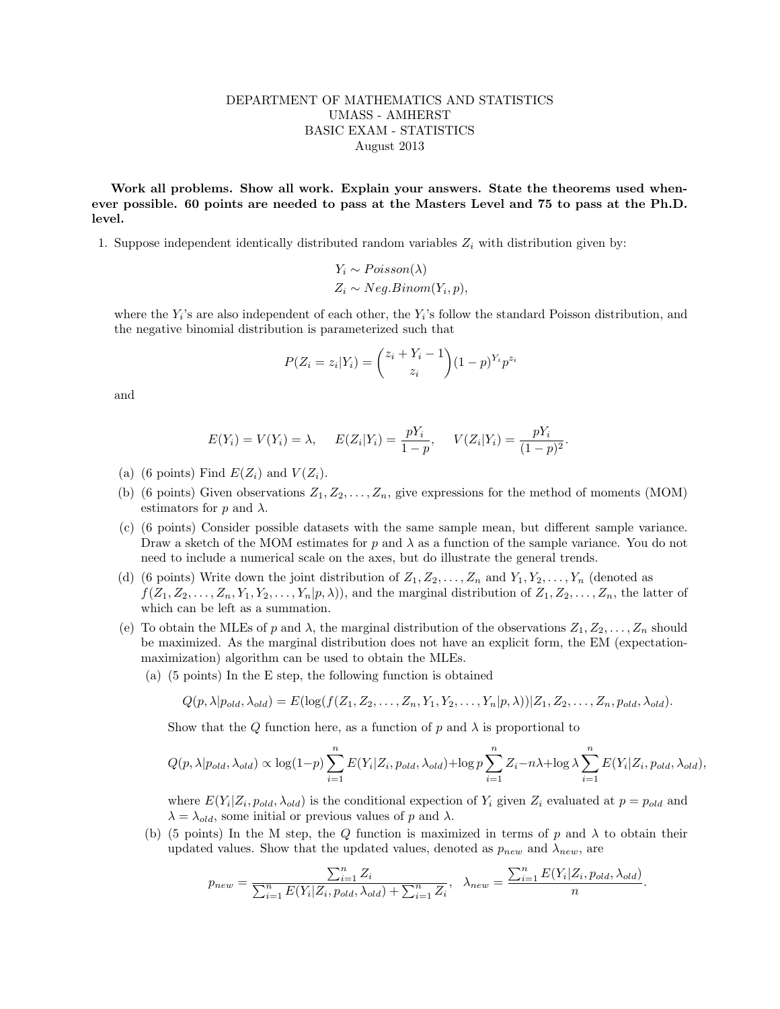## DEPARTMENT OF MATHEMATICS AND STATISTICS UMASS - AMHERST BASIC EXAM - STATISTICS August 2013

Work all problems. Show all work. Explain your answers. State the theorems used whenever possible. 60 points are needed to pass at the Masters Level and 75 to pass at the Ph.D. level.

1. Suppose independent identically distributed random variables  $Z_i$  with distribution given by:

$$
Y_i \sim Poisson(\lambda)
$$
  

$$
Z_i \sim Neg.Binom(Y_i, p),
$$

where the  $Y_i$ 's are also independent of each other, the  $Y_i$ 's follow the standard Poisson distribution, and the negative binomial distribution is parameterized such that

$$
P(Z_i = z_i | Y_i) = {z_i + Y_i - 1 \choose z_i} (1 - p)^{Y_i} p^{z_i}
$$

and

$$
E(Y_i) = V(Y_i) = \lambda
$$
,  $E(Z_i|Y_i) = \frac{pY_i}{1-p}$ ,  $V(Z_i|Y_i) = \frac{pY_i}{(1-p)^2}$ .

- (a) (6 points) Find  $E(Z_i)$  and  $V(Z_i)$ .
- (b) (6 points) Given observations  $Z_1, Z_2, \ldots, Z_n$ , give expressions for the method of moments (MOM) estimators for p and  $\lambda$ .
- (c) (6 points) Consider possible datasets with the same sample mean, but different sample variance. Draw a sketch of the MOM estimates for p and  $\lambda$  as a function of the sample variance. You do not need to include a numerical scale on the axes, but do illustrate the general trends.
- (d) (6 points) Write down the joint distribution of  $Z_1, Z_2, \ldots, Z_n$  and  $Y_1, Y_2, \ldots, Y_n$  (denoted as  $f(Z_1, Z_2, \ldots, Z_n, Y_1, Y_2, \ldots, Y_n | p, \lambda)$ , and the marginal distribution of  $Z_1, Z_2, \ldots, Z_n$ , the latter of which can be left as a summation.
- (e) To obtain the MLEs of p and  $\lambda$ , the marginal distribution of the observations  $Z_1, Z_2, \ldots, Z_n$  should be maximized. As the marginal distribution does not have an explicit form, the EM (expectationmaximization) algorithm can be used to obtain the MLEs.
	- (a) (5 points) In the E step, the following function is obtained

$$
Q(p,\lambda|p_{old},\lambda_{old})=E(\log(f(Z_1,Z_2,\ldots,Z_n,Y_1,Y_2,\ldots,Y_n|p,\lambda))|Z_1,Z_2,\ldots,Z_n,p_{old},\lambda_{old}).
$$

Show that the Q function here, as a function of p and  $\lambda$  is proportional to

$$
Q(p,\lambda|p_{old},\lambda_{old}) \propto \log(1-p) \sum_{i=1}^{n} E(Y_i|Z_i,p_{old},\lambda_{old}) + \log p \sum_{i=1}^{n} Z_i - n\lambda + \log \lambda \sum_{i=1}^{n} E(Y_i|Z_i,p_{old},\lambda_{old}),
$$

where  $E(Y_i|Z_i, p_{old}, \lambda_{old})$  is the conditional expection of  $Y_i$  given  $Z_i$  evaluated at  $p = p_{old}$  and  $\lambda = \lambda_{old}$ , some initial or previous values of p and  $\lambda$ .

(b) (5 points) In the M step, the Q function is maximized in terms of p and  $\lambda$  to obtain their updated values. Show that the updated values, denoted as  $p_{new}$  and  $\lambda_{new}$ , are

$$
p_{new} = \frac{\sum_{i=1}^{n} Z_i}{\sum_{i=1}^{n} E(Y_i | Z_i, p_{old}, \lambda_{old}) + \sum_{i=1}^{n} Z_i}, \ \ \lambda_{new} = \frac{\sum_{i=1}^{n} E(Y_i | Z_i, p_{old}, \lambda_{old})}{n}.
$$